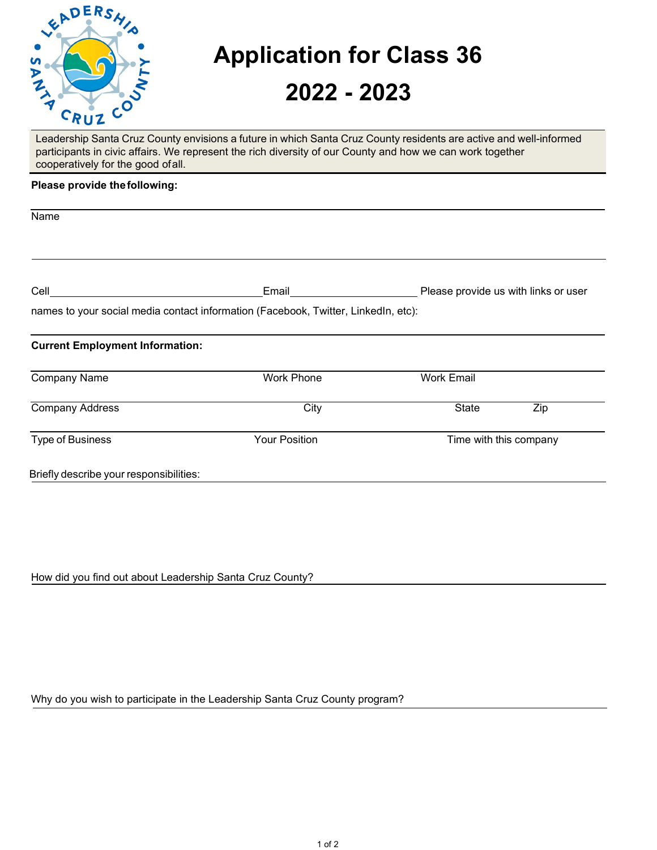

## **Application for Class 36**

## **2022 - 2023**

Leadership Santa Cruz County envisions a future in which Santa Cruz County residents are active and well-informed participants in civic affairs. We represent the rich diversity of our County and how we can work together cooperatively for the good ofall.

## **Please provide thefollowing:**

| Name                                    |                                                                                    |                                      |  |
|-----------------------------------------|------------------------------------------------------------------------------------|--------------------------------------|--|
|                                         |                                                                                    |                                      |  |
| <b>Cell Cell Cell Cell Cell Cell</b>    | Email                                                                              | Please provide us with links or user |  |
|                                         | names to your social media contact information (Facebook, Twitter, LinkedIn, etc): |                                      |  |
| <b>Current Employment Information:</b>  |                                                                                    |                                      |  |
| <b>Company Name</b>                     | <b>Work Phone</b>                                                                  | <b>Work Email</b>                    |  |
| <b>Company Address</b>                  | City                                                                               | <b>State</b><br>Zip                  |  |
| Type of Business                        | <b>Your Position</b>                                                               | Time with this company               |  |
| Briefly describe your responsibilities: |                                                                                    |                                      |  |
|                                         |                                                                                    |                                      |  |

How did you find out about Leadership Santa Cruz County?

Why do you wish to participate in the Leadership Santa Cruz County program?